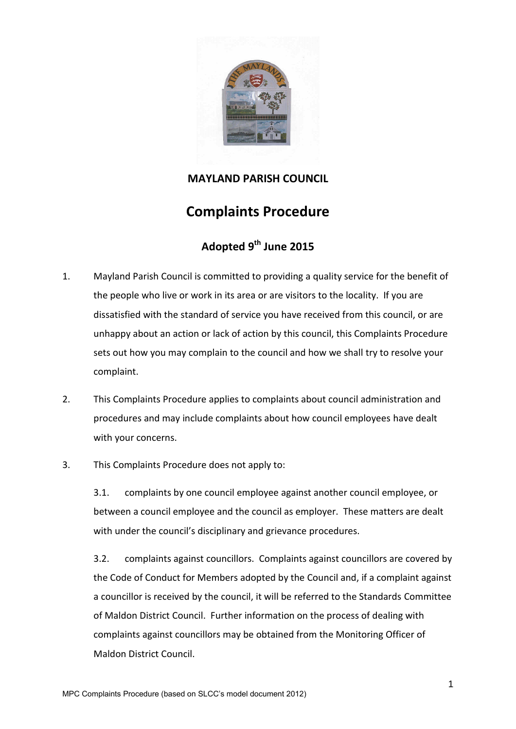

### **MAYLAND PARISH COUNCIL**

# **Complaints Procedure**

## **Adopted 9 th June 2015**

- 1. Mayland Parish Council is committed to providing a quality service for the benefit of the people who live or work in its area or are visitors to the locality. If you are dissatisfied with the standard of service you have received from this council, or are unhappy about an action or lack of action by this council, this Complaints Procedure sets out how you may complain to the council and how we shall try to resolve your complaint.
- 2. This Complaints Procedure applies to complaints about council administration and procedures and may include complaints about how council employees have dealt with your concerns.
- 3. This Complaints Procedure does not apply to:

3.1. complaints by one council employee against another council employee, or between a council employee and the council as employer. These matters are dealt with under the council's disciplinary and grievance procedures.

3.2. complaints against councillors. Complaints against councillors are covered by the Code of Conduct for Members adopted by the Council and, if a complaint against a councillor is received by the council, it will be referred to the Standards Committee of Maldon District Council. Further information on the process of dealing with complaints against councillors may be obtained from the Monitoring Officer of Maldon District Council.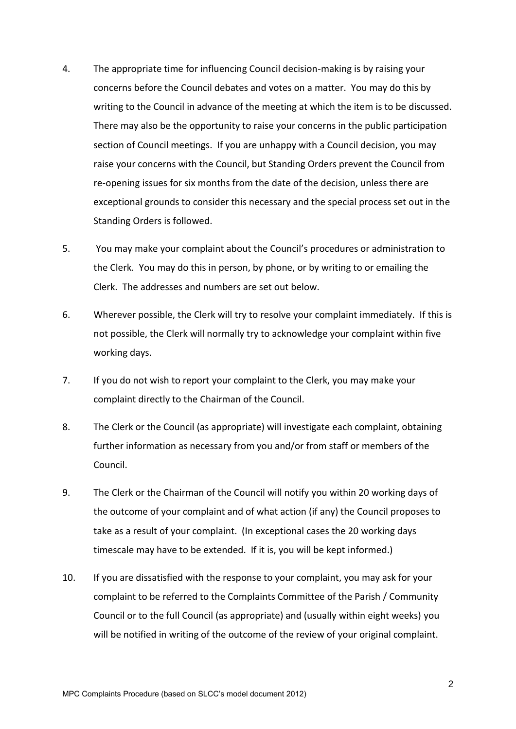- 4. The appropriate time for influencing Council decision-making is by raising your concerns before the Council debates and votes on a matter. You may do this by writing to the Council in advance of the meeting at which the item is to be discussed. There may also be the opportunity to raise your concerns in the public participation section of Council meetings. If you are unhappy with a Council decision, you may raise your concerns with the Council, but Standing Orders prevent the Council from re-opening issues for six months from the date of the decision, unless there are exceptional grounds to consider this necessary and the special process set out in the Standing Orders is followed.
- 5. You may make your complaint about the Council's procedures or administration to the Clerk. You may do this in person, by phone, or by writing to or emailing the Clerk. The addresses and numbers are set out below.
- 6. Wherever possible, the Clerk will try to resolve your complaint immediately. If this is not possible, the Clerk will normally try to acknowledge your complaint within five working days.
- 7. If you do not wish to report your complaint to the Clerk, you may make your complaint directly to the Chairman of the Council.
- 8. The Clerk or the Council (as appropriate) will investigate each complaint, obtaining further information as necessary from you and/or from staff or members of the Council.
- 9. The Clerk or the Chairman of the Council will notify you within 20 working days of the outcome of your complaint and of what action (if any) the Council proposes to take as a result of your complaint. (In exceptional cases the 20 working days timescale may have to be extended. If it is, you will be kept informed.)
- 10. If you are dissatisfied with the response to your complaint, you may ask for your complaint to be referred to the Complaints Committee of the Parish / Community Council or to the full Council (as appropriate) and (usually within eight weeks) you will be notified in writing of the outcome of the review of your original complaint.